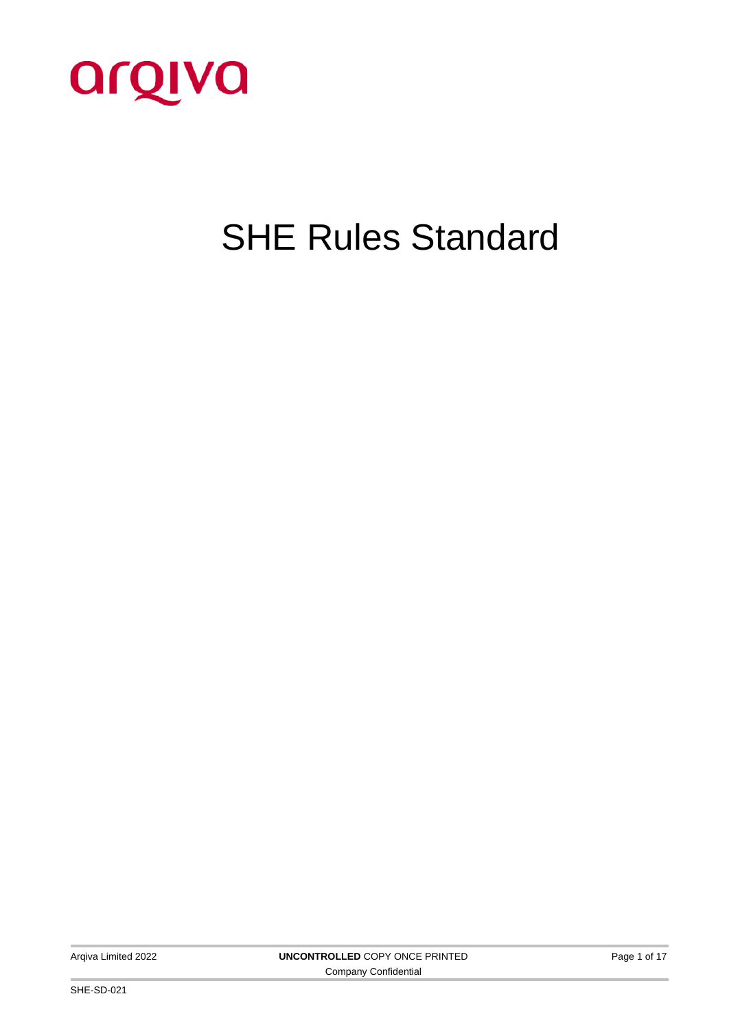

# SHE Rules Standard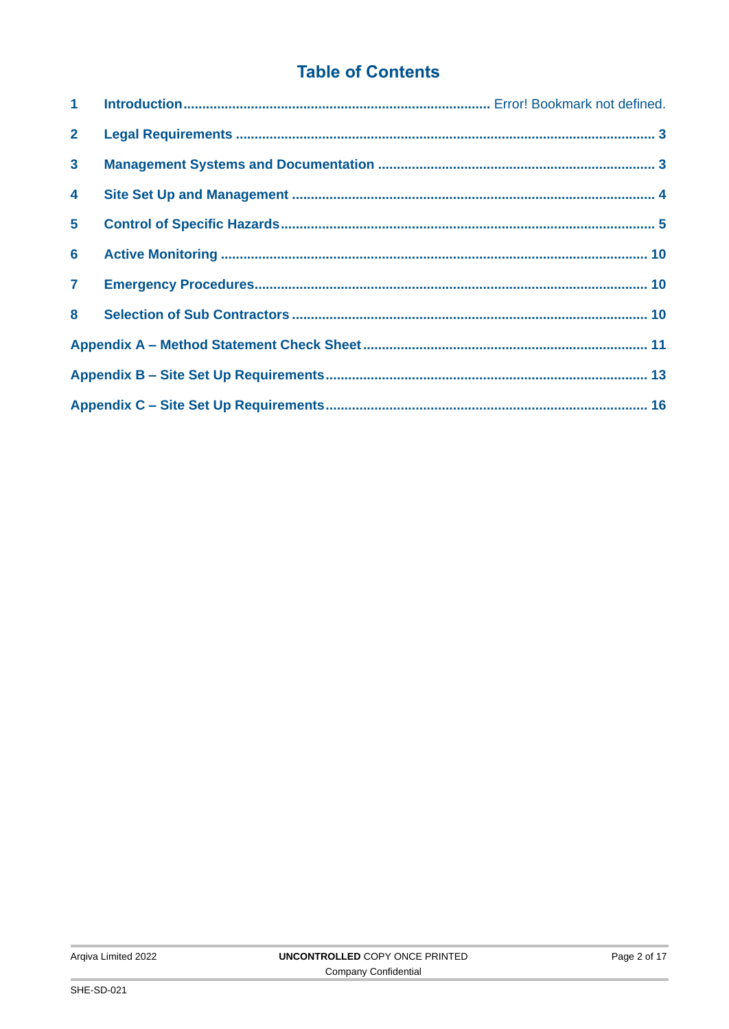# **Table of Contents**

| 2 <sup>7</sup> |  |
|----------------|--|
| 3 <sup>1</sup> |  |
| $\overline{4}$ |  |
| 5 <sup>1</sup> |  |
| 6              |  |
| $\mathbf{7}$   |  |
| 8              |  |
|                |  |
|                |  |
|                |  |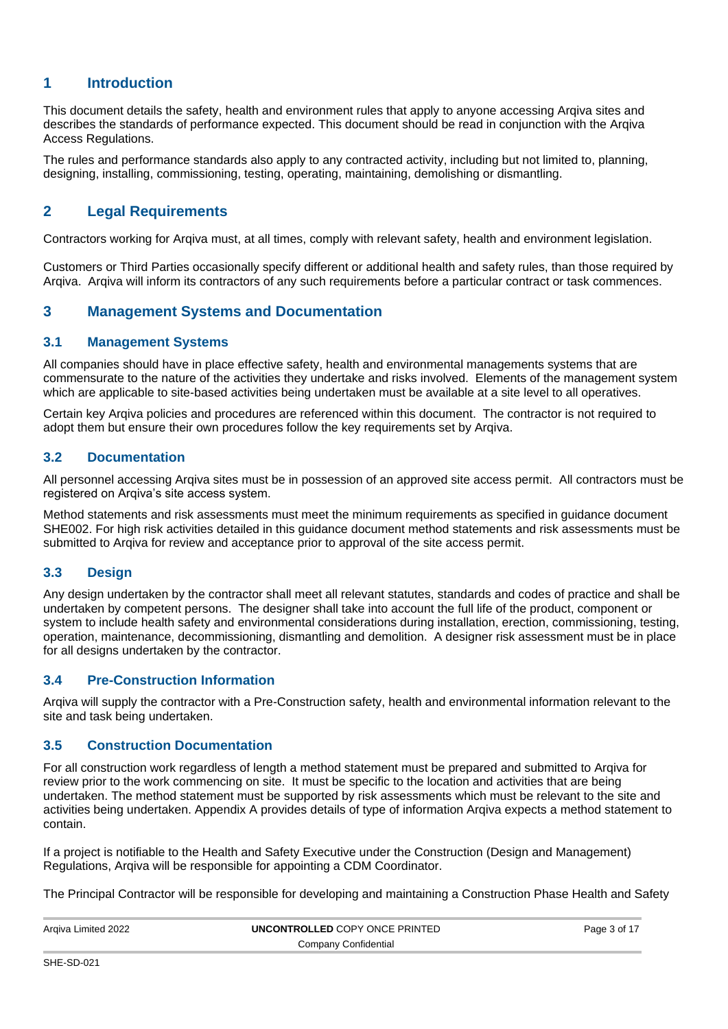# **1 Introduction**

<span id="page-2-0"></span>This document details the safety, health and environment rules that apply to anyone accessing Arqiva sites and describes the standards of performance expected. This document should be read in conjunction with the Arqiva Access Regulations.

The rules and performance standards also apply to any contracted activity, including but not limited to, planning, designing, installing, commissioning, testing, operating, maintaining, demolishing or dismantling.

## **2 Legal Requirements**

Contractors working for Arqiva must, at all times, comply with relevant safety, health and environment legislation.

Customers or Third Parties occasionally specify different or additional health and safety rules, than those required by Arqiva. Arqiva will inform its contractors of any such requirements before a particular contract or task commences.

# **3 Management Systems and Documentation**

#### **3.1 Management Systems**

<span id="page-2-1"></span>All companies should have in place effective safety, health and environmental managements systems that are commensurate to the nature of the activities they undertake and risks involved. Elements of the management system which are applicable to site-based activities being undertaken must be available at a site level to all operatives.

Certain key Arqiva policies and procedures are referenced within this document. The contractor is not required to adopt them but ensure their own procedures follow the key requirements set by Arqiva.

#### **3.2 Documentation**

All personnel accessing Arqiva sites must be in possession of an approved site access permit. All contractors must be registered on Arqiva's site access system.

Method statements and risk assessments must meet the minimum requirements as specified in guidance document SHE002. For high risk activities detailed in this guidance document method statements and risk assessments must be submitted to Arqiva for review and acceptance prior to approval of the site access permit.

#### **3.3 Design**

Any design undertaken by the contractor shall meet all relevant statutes, standards and codes of practice and shall be undertaken by competent persons. The designer shall take into account the full life of the product, component or system to include health safety and environmental considerations during installation, erection, commissioning, testing, operation, maintenance, decommissioning, dismantling and demolition. A designer risk assessment must be in place for all designs undertaken by the contractor.

#### **3.4 Pre-Construction Information**

Arqiva will supply the contractor with a Pre-Construction safety, health and environmental information relevant to the site and task being undertaken.

#### **3.5 Construction Documentation**

For all construction work regardless of length a method statement must be prepared and submitted to Arqiva for review prior to the work commencing on site. It must be specific to the location and activities that are being undertaken. The method statement must be supported by risk assessments which must be relevant to the site and activities being undertaken. Appendix A provides details of type of information Arqiva expects a method statement to contain.

If a project is notifiable to the Health and Safety Executive under the Construction (Design and Management) Regulations, Arqiva will be responsible for appointing a CDM Coordinator.

The Principal Contractor will be responsible for developing and maintaining a Construction Phase Health and Safety

| Argiva Limited 2022 | <b>UNCONTROLLED COPY ONCE PRINTED</b> | Page 3 of 17 |
|---------------------|---------------------------------------|--------------|
|                     | Company Confidential                  |              |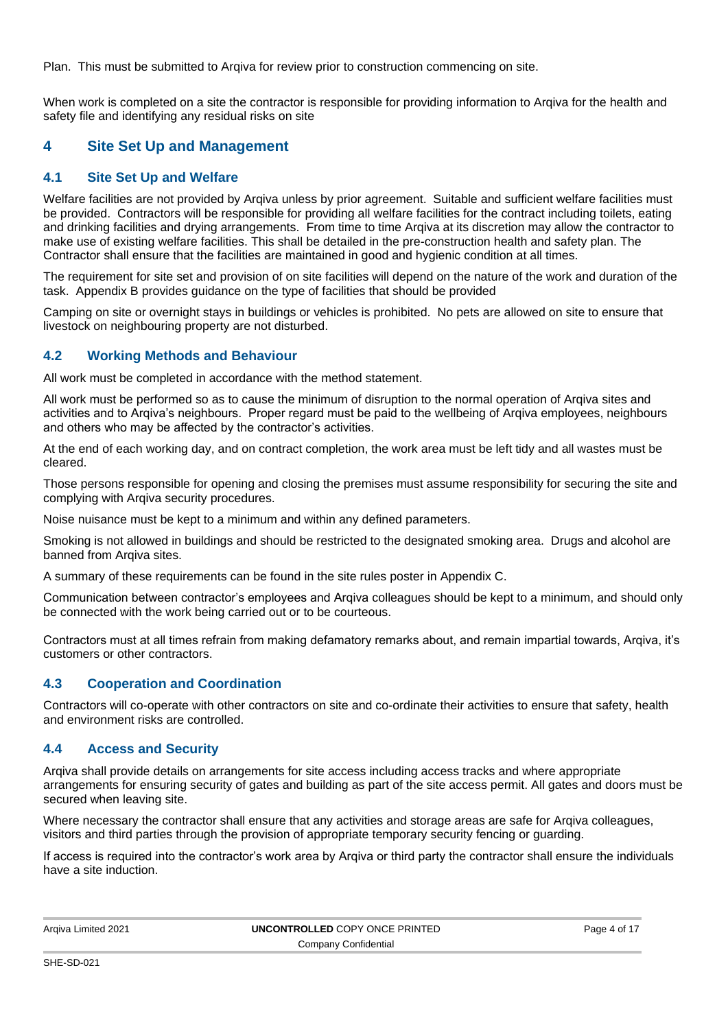Plan. This must be submitted to Arqiva for review prior to construction commencing on site.

When work is completed on a site the contractor is responsible for providing information to Arqiva for the health and safety file and identifying any residual risks on site

# **4 Site Set Up and Management**

#### **4.1 Site Set Up and Welfare**

Welfare facilities are not provided by Arqiva unless by prior agreement. Suitable and sufficient welfare facilities must be provided. Contractors will be responsible for providing all welfare facilities for the contract including toilets, eating and drinking facilities and drying arrangements. From time to time Arqiva at its discretion may allow the contractor to make use of existing welfare facilities. This shall be detailed in the pre-construction health and safety plan. The Contractor shall ensure that the facilities are maintained in good and hygienic condition at all times.

The requirement for site set and provision of on site facilities will depend on the nature of the work and duration of the task. Appendix B provides guidance on the type of facilities that should be provided

Camping on site or overnight stays in buildings or vehicles is prohibited. No pets are allowed on site to ensure that livestock on neighbouring property are not disturbed.

#### **4.2 Working Methods and Behaviour**

All work must be completed in accordance with the method statement.

All work must be performed so as to cause the minimum of disruption to the normal operation of Arqiva sites and activities and to Arqiva's neighbours. Proper regard must be paid to the wellbeing of Arqiva employees, neighbours and others who may be affected by the contractor's activities.

At the end of each working day, and on contract completion, the work area must be left tidy and all wastes must be cleared.

Those persons responsible for opening and closing the premises must assume responsibility for securing the site and complying with Arqiva security procedures.

Noise nuisance must be kept to a minimum and within any defined parameters.

Smoking is not allowed in buildings and should be restricted to the designated smoking area. Drugs and alcohol are banned from Arqiva sites.

A summary of these requirements can be found in the site rules poster in Appendix C.

Communication between contractor's employees and Arqiva colleagues should be kept to a minimum, and should only be connected with the work being carried out or to be courteous.

Contractors must at all times refrain from making defamatory remarks about, and remain impartial towards, Arqiva, it's customers or other contractors.

#### **4.3 Cooperation and Coordination**

Contractors will co-operate with other contractors on site and co-ordinate their activities to ensure that safety, health and environment risks are controlled.

#### **4.4 Access and Security**

Arqiva shall provide details on arrangements for site access including access tracks and where appropriate arrangements for ensuring security of gates and building as part of the site access permit. All gates and doors must be secured when leaving site.

Where necessary the contractor shall ensure that any activities and storage areas are safe for Arqiva colleagues, visitors and third parties through the provision of appropriate temporary security fencing or guarding.

If access is required into the contractor's work area by Arqiva or third party the contractor shall ensure the individuals have a site induction.

| Argiva Limited 2021 | <b>UNCONTROLLED COPY ONCE PRINTED</b> | Page 4 of 17 |
|---------------------|---------------------------------------|--------------|
|                     | Company Confidential                  |              |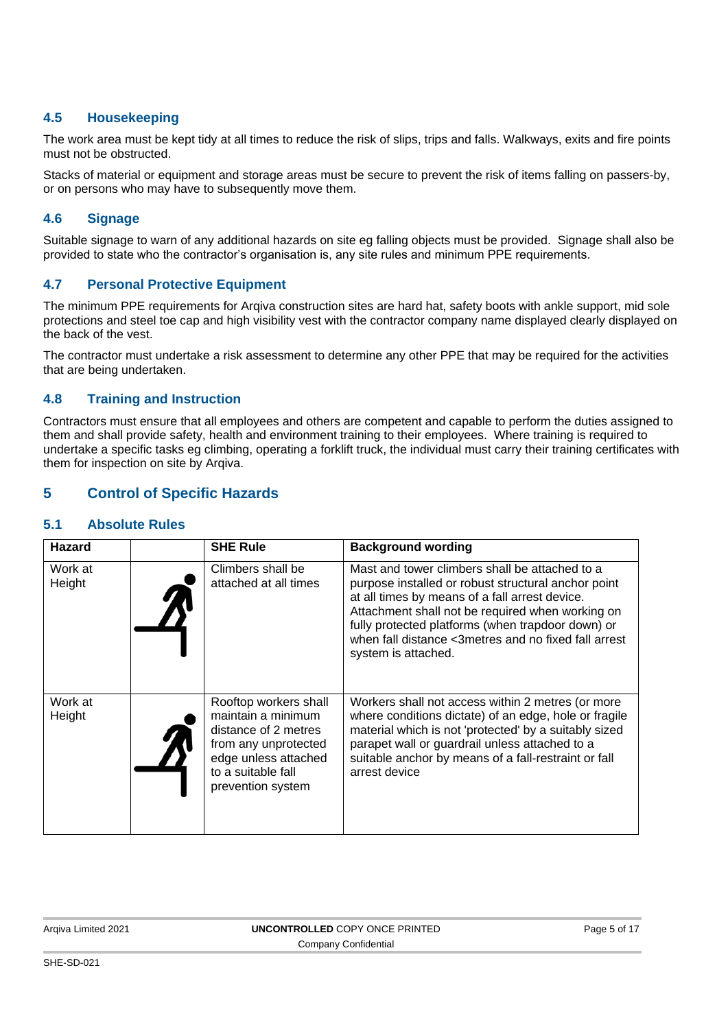# **4.5 Housekeeping**

The work area must be kept tidy at all times to reduce the risk of slips, trips and falls. Walkways, exits and fire points must not be obstructed.

Stacks of material or equipment and storage areas must be secure to prevent the risk of items falling on passers-by, or on persons who may have to subsequently move them.

## **4.6 Signage**

Suitable signage to warn of any additional hazards on site eg falling objects must be provided. Signage shall also be provided to state who the contractor's organisation is, any site rules and minimum PPE requirements.

#### **4.7 Personal Protective Equipment**

The minimum PPE requirements for Arqiva construction sites are hard hat, safety boots with ankle support, mid sole protections and steel toe cap and high visibility vest with the contractor company name displayed clearly displayed on the back of the vest.

The contractor must undertake a risk assessment to determine any other PPE that may be required for the activities that are being undertaken.

#### **4.8 Training and Instruction**

Contractors must ensure that all employees and others are competent and capable to perform the duties assigned to them and shall provide safety, health and environment training to their employees. Where training is required to undertake a specific tasks eg climbing, operating a forklift truck, the individual must carry their training certificates with them for inspection on site by Arqiva.

# **5 Control of Specific Hazards**

#### **5.1 Absolute Rules**

| <b>Hazard</b>     | <b>SHE Rule</b>                                                                                                                                                | <b>Background wording</b>                                                                                                                                                                                                                                                                                                                       |
|-------------------|----------------------------------------------------------------------------------------------------------------------------------------------------------------|-------------------------------------------------------------------------------------------------------------------------------------------------------------------------------------------------------------------------------------------------------------------------------------------------------------------------------------------------|
| Work at<br>Height | Climbers shall be<br>attached at all times                                                                                                                     | Mast and tower climbers shall be attached to a<br>purpose installed or robust structural anchor point<br>at all times by means of a fall arrest device.<br>Attachment shall not be required when working on<br>fully protected platforms (when trapdoor down) or<br>when fall distance <3metres and no fixed fall arrest<br>system is attached. |
| Work at<br>Height | Rooftop workers shall<br>maintain a minimum<br>distance of 2 metres<br>from any unprotected<br>edge unless attached<br>to a suitable fall<br>prevention system | Workers shall not access within 2 metres (or more<br>where conditions dictate) of an edge, hole or fragile<br>material which is not 'protected' by a suitably sized<br>parapet wall or guardrail unless attached to a<br>suitable anchor by means of a fall-restraint or fall<br>arrest device                                                  |

| Arqiva Limited 2021 | <b>UNCONTROLLED COPY ONCE PRINTED</b> | Page 5 of 17 |
|---------------------|---------------------------------------|--------------|
|                     | Company Confidential                  |              |
|                     |                                       |              |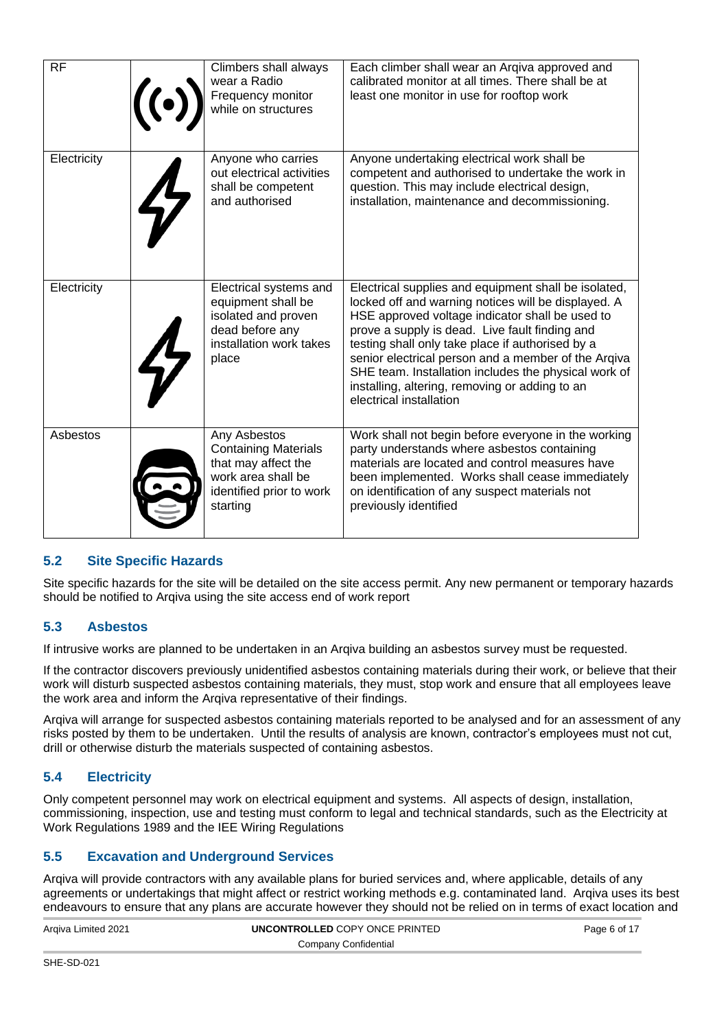| <b>RF</b>   | Climbers shall always<br>wear a Radio<br>Frequency monitor<br>while on structures                                                | Each climber shall wear an Argiva approved and<br>calibrated monitor at all times. There shall be at<br>least one monitor in use for rooftop work                                                                                                                                                                                                                                                                                                                |
|-------------|----------------------------------------------------------------------------------------------------------------------------------|------------------------------------------------------------------------------------------------------------------------------------------------------------------------------------------------------------------------------------------------------------------------------------------------------------------------------------------------------------------------------------------------------------------------------------------------------------------|
| Electricity | Anyone who carries<br>out electrical activities<br>shall be competent<br>and authorised                                          | Anyone undertaking electrical work shall be<br>competent and authorised to undertake the work in<br>question. This may include electrical design,<br>installation, maintenance and decommissioning.                                                                                                                                                                                                                                                              |
| Electricity | Electrical systems and<br>equipment shall be<br>isolated and proven<br>dead before any<br>installation work takes<br>place       | Electrical supplies and equipment shall be isolated,<br>locked off and warning notices will be displayed. A<br>HSE approved voltage indicator shall be used to<br>prove a supply is dead. Live fault finding and<br>testing shall only take place if authorised by a<br>senior electrical person and a member of the Arqiva<br>SHE team. Installation includes the physical work of<br>installing, altering, removing or adding to an<br>electrical installation |
| Asbestos    | Any Asbestos<br><b>Containing Materials</b><br>that may affect the<br>work area shall be<br>identified prior to work<br>starting | Work shall not begin before everyone in the working<br>party understands where asbestos containing<br>materials are located and control measures have<br>been implemented. Works shall cease immediately<br>on identification of any suspect materials not<br>previously identified                                                                                                                                                                              |

# **5.2 Site Specific Hazards**

Site specific hazards for the site will be detailed on the site access permit. Any new permanent or temporary hazards should be notified to Arqiva using the site access end of work report

#### **5.3 Asbestos**

If intrusive works are planned to be undertaken in an Arqiva building an asbestos survey must be requested.

If the contractor discovers previously unidentified asbestos containing materials during their work, or believe that their work will disturb suspected asbestos containing materials, they must, stop work and ensure that all employees leave the work area and inform the Arqiva representative of their findings.

Arqiva will arrange for suspected asbestos containing materials reported to be analysed and for an assessment of any risks posted by them to be undertaken. Until the results of analysis are known, contractor's employees must not cut, drill or otherwise disturb the materials suspected of containing asbestos.

#### **5.4 Electricity**

Only competent personnel may work on electrical equipment and systems. All aspects of design, installation, commissioning, inspection, use and testing must conform to legal and technical standards, such as the Electricity at Work Regulations 1989 and the IEE Wiring Regulations

#### **5.5 Excavation and Underground Services**

Argiva will provide contractors with any available plans for buried services and, where applicable, details of any agreements or undertakings that might affect or restrict working methods e.g. contaminated land. Arqiva uses its best endeavours to ensure that any plans are accurate however they should not be relied on in terms of exact location and

| Argiva Limited 2021 | <b>UNCONTROLLED COPY ONCE PRINTED</b> | Page 6 of 17 |
|---------------------|---------------------------------------|--------------|
|                     | Company Confidential                  |              |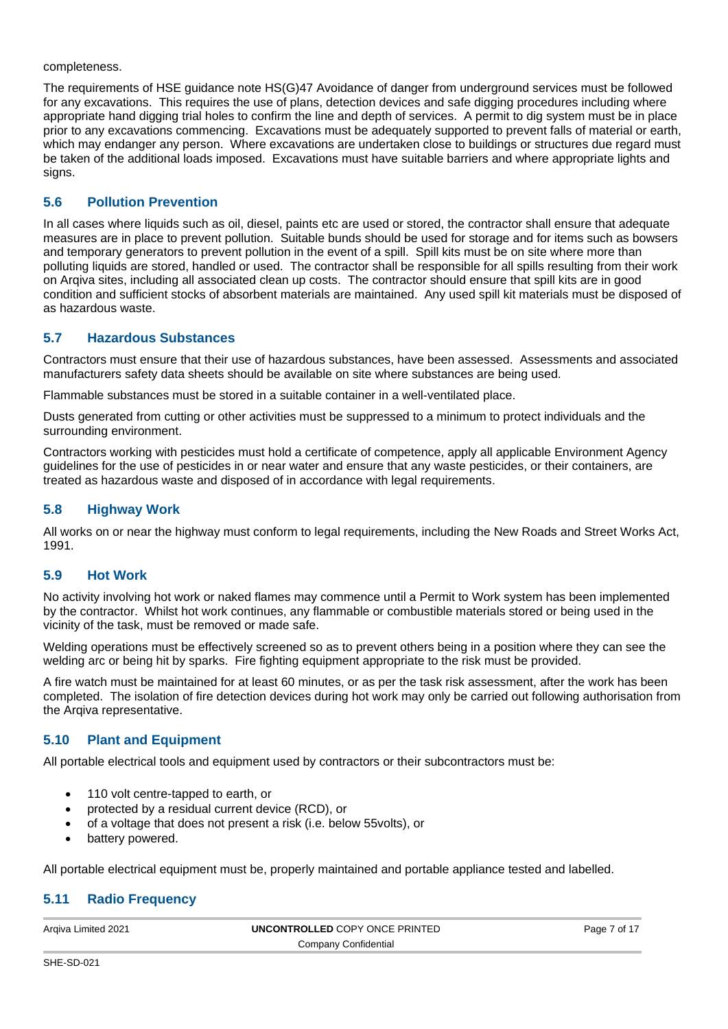#### completeness.

The requirements of HSE guidance note HS(G)47 Avoidance of danger from underground services must be followed for any excavations. This requires the use of plans, detection devices and safe digging procedures including where appropriate hand digging trial holes to confirm the line and depth of services. A permit to dig system must be in place prior to any excavations commencing. Excavations must be adequately supported to prevent falls of material or earth, which may endanger any person. Where excavations are undertaken close to buildings or structures due regard must be taken of the additional loads imposed. Excavations must have suitable barriers and where appropriate lights and signs.

#### **5.6 Pollution Prevention**

In all cases where liquids such as oil, diesel, paints etc are used or stored, the contractor shall ensure that adequate measures are in place to prevent pollution. Suitable bunds should be used for storage and for items such as bowsers and temporary generators to prevent pollution in the event of a spill. Spill kits must be on site where more than polluting liquids are stored, handled or used. The contractor shall be responsible for all spills resulting from their work on Arqiva sites, including all associated clean up costs. The contractor should ensure that spill kits are in good condition and sufficient stocks of absorbent materials are maintained. Any used spill kit materials must be disposed of as hazardous waste.

#### **5.7 Hazardous Substances**

Contractors must ensure that their use of hazardous substances, have been assessed. Assessments and associated manufacturers safety data sheets should be available on site where substances are being used.

Flammable substances must be stored in a suitable container in a well-ventilated place.

Dusts generated from cutting or other activities must be suppressed to a minimum to protect individuals and the surrounding environment.

Contractors working with pesticides must hold a certificate of competence, apply all applicable Environment Agency guidelines for the use of pesticides in or near water and ensure that any waste pesticides, or their containers, are treated as hazardous waste and disposed of in accordance with legal requirements.

#### **5.8 Highway Work**

All works on or near the highway must conform to legal requirements, including the New Roads and Street Works Act, 1991.

#### **5.9 Hot Work**

No activity involving hot work or naked flames may commence until a Permit to Work system has been implemented by the contractor. Whilst hot work continues, any flammable or combustible materials stored or being used in the vicinity of the task, must be removed or made safe.

Welding operations must be effectively screened so as to prevent others being in a position where they can see the welding arc or being hit by sparks. Fire fighting equipment appropriate to the risk must be provided.

A fire watch must be maintained for at least 60 minutes, or as per the task risk assessment, after the work has been completed. The isolation of fire detection devices during hot work may only be carried out following authorisation from the Arqiva representative.

#### **5.10 Plant and Equipment**

All portable electrical tools and equipment used by contractors or their subcontractors must be:

- 110 volt centre-tapped to earth, or
- protected by a residual current device (RCD), or
- of a voltage that does not present a risk (i.e. below 55volts), or
- battery powered.

All portable electrical equipment must be, properly maintained and portable appliance tested and labelled.

#### **5.11 Radio Frequency**

| Argiva Limited 2021 | <b>UNCONTROLLED COPY ONCE PRINTED</b> | Page 7 of 17 |
|---------------------|---------------------------------------|--------------|
|                     | Company Confidential                  |              |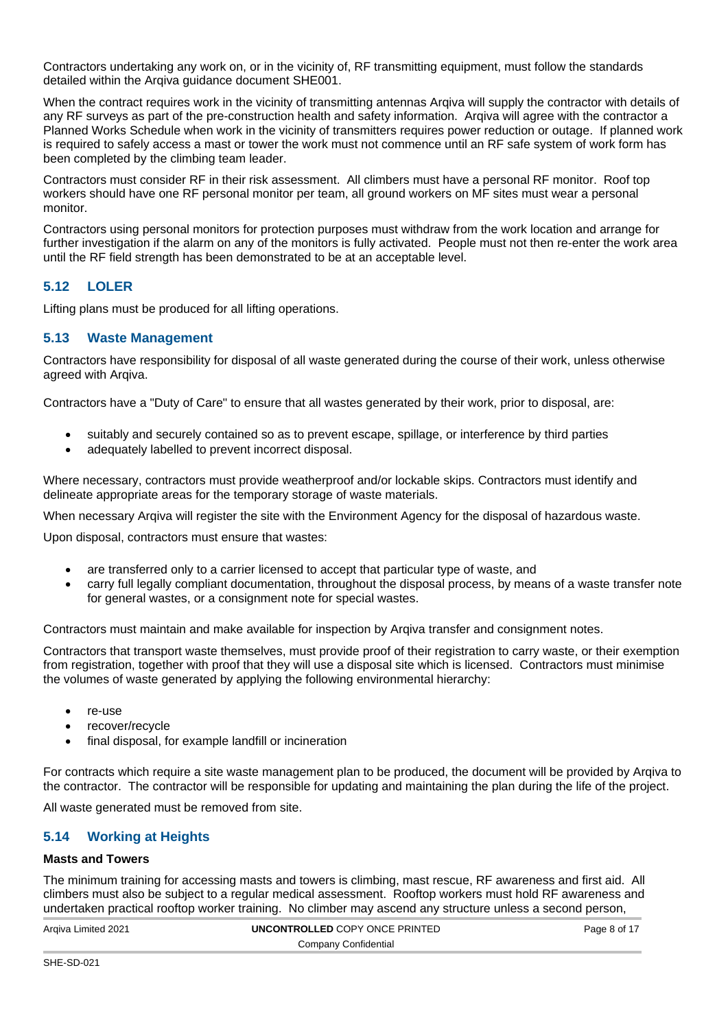Contractors undertaking any work on, or in the vicinity of, RF transmitting equipment, must follow the standards detailed within the Arqiva guidance document SHE001.

When the contract requires work in the vicinity of transmitting antennas Arqiva will supply the contractor with details of any RF surveys as part of the pre-construction health and safety information. Arqiva will agree with the contractor a Planned Works Schedule when work in the vicinity of transmitters requires power reduction or outage. If planned work is required to safely access a mast or tower the work must not commence until an RF safe system of work form has been completed by the climbing team leader.

Contractors must consider RF in their risk assessment. All climbers must have a personal RF monitor. Roof top workers should have one RF personal monitor per team, all ground workers on MF sites must wear a personal monitor.

Contractors using personal monitors for protection purposes must withdraw from the work location and arrange for further investigation if the alarm on any of the monitors is fully activated. People must not then re-enter the work area until the RF field strength has been demonstrated to be at an acceptable level.

# **5.12 LOLER**

Lifting plans must be produced for all lifting operations.

#### **5.13 Waste Management**

Contractors have responsibility for disposal of all waste generated during the course of their work, unless otherwise agreed with Argiva.

Contractors have a "Duty of Care" to ensure that all wastes generated by their work, prior to disposal, are:

- suitably and securely contained so as to prevent escape, spillage, or interference by third parties
- adequately labelled to prevent incorrect disposal.

Where necessary, contractors must provide weatherproof and/or lockable skips. Contractors must identify and delineate appropriate areas for the temporary storage of waste materials.

When necessary Arqiva will register the site with the Environment Agency for the disposal of hazardous waste.

Upon disposal, contractors must ensure that wastes:

- are transferred only to a carrier licensed to accept that particular type of waste, and
- carry full legally compliant documentation, throughout the disposal process, by means of a waste transfer note for general wastes, or a consignment note for special wastes.

Contractors must maintain and make available for inspection by Arqiva transfer and consignment notes.

Contractors that transport waste themselves, must provide proof of their registration to carry waste, or their exemption from registration, together with proof that they will use a disposal site which is licensed. Contractors must minimise the volumes of waste generated by applying the following environmental hierarchy:

- re-use
- recover/recycle
- final disposal, for example landfill or incineration

For contracts which require a site waste management plan to be produced, the document will be provided by Arqiva to the contractor. The contractor will be responsible for updating and maintaining the plan during the life of the project.

All waste generated must be removed from site.

#### **5.14 Working at Heights**

#### **Masts and Towers**

The minimum training for accessing masts and towers is climbing, mast rescue, RF awareness and first aid. All climbers must also be subject to a regular medical assessment. Rooftop workers must hold RF awareness and undertaken practical rooftop worker training. No climber may ascend any structure unless a second person,

| Argiva Limited 2021 | <b>UNCONTROLLED COPY ONCE PRINTED</b> | Page 8 of 17 |
|---------------------|---------------------------------------|--------------|
|                     | Company Confidential                  |              |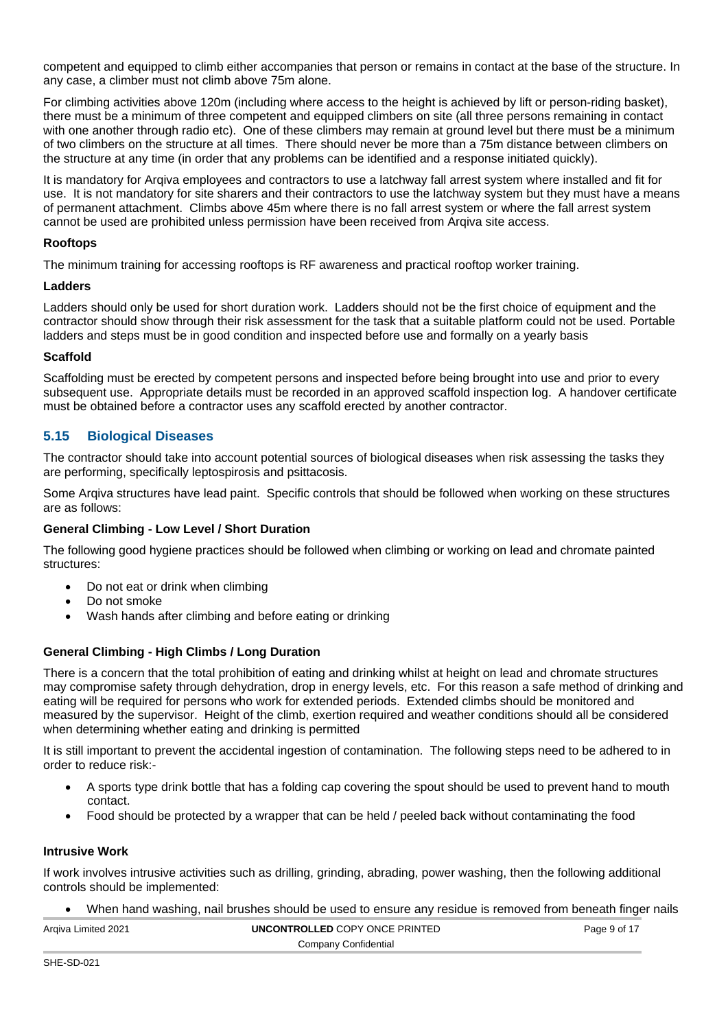competent and equipped to climb either accompanies that person or remains in contact at the base of the structure. In any case, a climber must not climb above 75m alone.

For climbing activities above 120m (including where access to the height is achieved by lift or person-riding basket), there must be a minimum of three competent and equipped climbers on site (all three persons remaining in contact with one another through radio etc). One of these climbers may remain at ground level but there must be a minimum of two climbers on the structure at all times. There should never be more than a 75m distance between climbers on the structure at any time (in order that any problems can be identified and a response initiated quickly).

It is mandatory for Arqiva employees and contractors to use a latchway fall arrest system where installed and fit for use. It is not mandatory for site sharers and their contractors to use the latchway system but they must have a means of permanent attachment. Climbs above 45m where there is no fall arrest system or where the fall arrest system cannot be used are prohibited unless permission have been received from Arqiva site access.

#### **Rooftops**

The minimum training for accessing rooftops is RF awareness and practical rooftop worker training.

#### **Ladders**

Ladders should only be used for short duration work. Ladders should not be the first choice of equipment and the contractor should show through their risk assessment for the task that a suitable platform could not be used. Portable ladders and steps must be in good condition and inspected before use and formally on a yearly basis

#### **Scaffold**

Scaffolding must be erected by competent persons and inspected before being brought into use and prior to every subsequent use. Appropriate details must be recorded in an approved scaffold inspection log. A handover certificate must be obtained before a contractor uses any scaffold erected by another contractor.

#### **5.15 Biological Diseases**

The contractor should take into account potential sources of biological diseases when risk assessing the tasks they are performing, specifically leptospirosis and psittacosis.

Some Arqiva structures have lead paint. Specific controls that should be followed when working on these structures are as follows:

#### **General Climbing - Low Level / Short Duration**

The following good hygiene practices should be followed when climbing or working on lead and chromate painted structures:

- Do not eat or drink when climbing
- Do not smoke
- Wash hands after climbing and before eating or drinking

#### **General Climbing - High Climbs / Long Duration**

There is a concern that the total prohibition of eating and drinking whilst at height on lead and chromate structures may compromise safety through dehydration, drop in energy levels, etc. For this reason a safe method of drinking and eating will be required for persons who work for extended periods. Extended climbs should be monitored and measured by the supervisor. Height of the climb, exertion required and weather conditions should all be considered when determining whether eating and drinking is permitted

It is still important to prevent the accidental ingestion of contamination. The following steps need to be adhered to in order to reduce risk:-

- A sports type drink bottle that has a folding cap covering the spout should be used to prevent hand to mouth contact.
- Food should be protected by a wrapper that can be held / peeled back without contaminating the food

#### **Intrusive Work**

If work involves intrusive activities such as drilling, grinding, abrading, power washing, then the following additional controls should be implemented:

• When hand washing, nail brushes should be used to ensure any residue is removed from beneath finger nails

| Arqiva Limited 2021 | <b>UNCONTROLLED COPY ONCE PRINTED</b> | Page 9 of 17 |
|---------------------|---------------------------------------|--------------|
|                     | Company Confidential                  |              |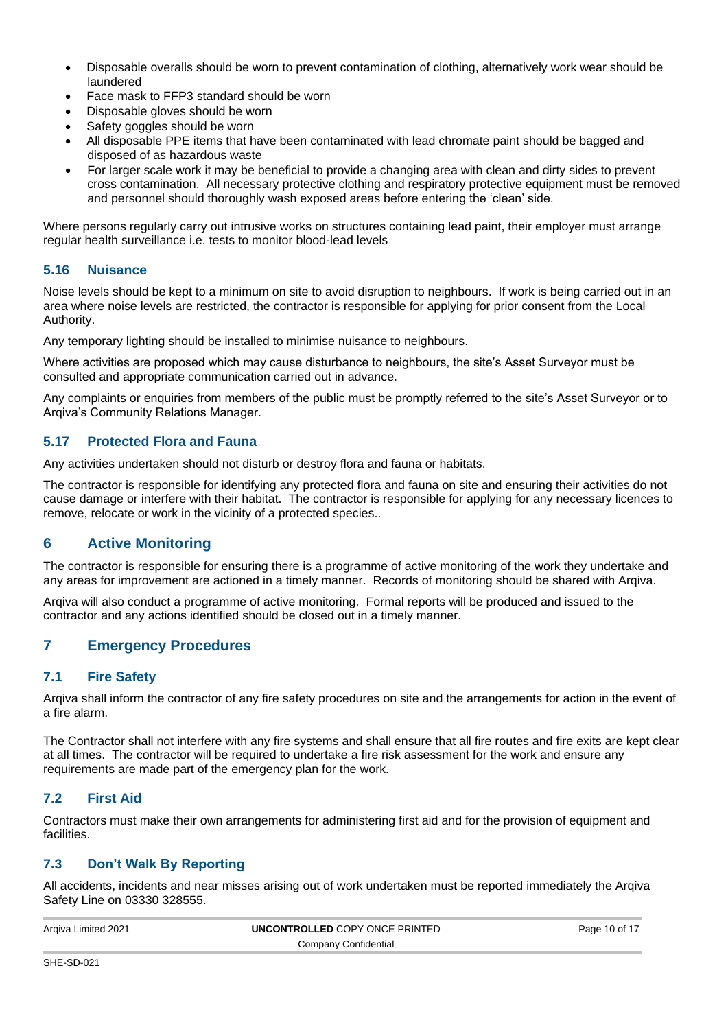- Disposable overalls should be worn to prevent contamination of clothing, alternatively work wear should be laundered
- Face mask to FFP3 standard should be worn
- Disposable gloves should be worn
- Safety goggles should be worn
- All disposable PPE items that have been contaminated with lead chromate paint should be bagged and disposed of as hazardous waste
- For larger scale work it may be beneficial to provide a changing area with clean and dirty sides to prevent cross contamination. All necessary protective clothing and respiratory protective equipment must be removed and personnel should thoroughly wash exposed areas before entering the 'clean' side.

Where persons regularly carry out intrusive works on structures containing lead paint, their employer must arrange regular health surveillance i.e. tests to monitor blood-lead levels

#### **5.16 Nuisance**

Noise levels should be kept to a minimum on site to avoid disruption to neighbours. If work is being carried out in an area where noise levels are restricted, the contractor is responsible for applying for prior consent from the Local Authority.

Any temporary lighting should be installed to minimise nuisance to neighbours.

Where activities are proposed which may cause disturbance to neighbours, the site's Asset Surveyor must be consulted and appropriate communication carried out in advance.

Any complaints or enquiries from members of the public must be promptly referred to the site's Asset Surveyor or to Argiva's Community Relations Manager.

#### **5.17 Protected Flora and Fauna**

Any activities undertaken should not disturb or destroy flora and fauna or habitats.

The contractor is responsible for identifying any protected flora and fauna on site and ensuring their activities do not cause damage or interfere with their habitat. The contractor is responsible for applying for any necessary licences to remove, relocate or work in the vicinity of a protected species..

# **6 Active Monitoring**

The contractor is responsible for ensuring there is a programme of active monitoring of the work they undertake and any areas for improvement are actioned in a timely manner. Records of monitoring should be shared with Arqiva.

Arqiva will also conduct a programme of active monitoring. Formal reports will be produced and issued to the contractor and any actions identified should be closed out in a timely manner.

# **7 Emergency Procedures**

#### **7.1 Fire Safety**

Arqiva shall inform the contractor of any fire safety procedures on site and the arrangements for action in the event of a fire alarm.

The Contractor shall not interfere with any fire systems and shall ensure that all fire routes and fire exits are kept clear at all times. The contractor will be required to undertake a fire risk assessment for the work and ensure any requirements are made part of the emergency plan for the work.

#### **7.2 First Aid**

Contractors must make their own arrangements for administering first aid and for the provision of equipment and facilities.

# **7.3 Don't Walk By Reporting**

All accidents, incidents and near misses arising out of work undertaken must be reported immediately the Arqiva Safety Line on 03330 328555.

| Argiva Limited 2021 | <b>UNCONTROLLED COPY ONCE PRINTED</b> | Page 10 of 17 |
|---------------------|---------------------------------------|---------------|
|                     | Company Confidential                  |               |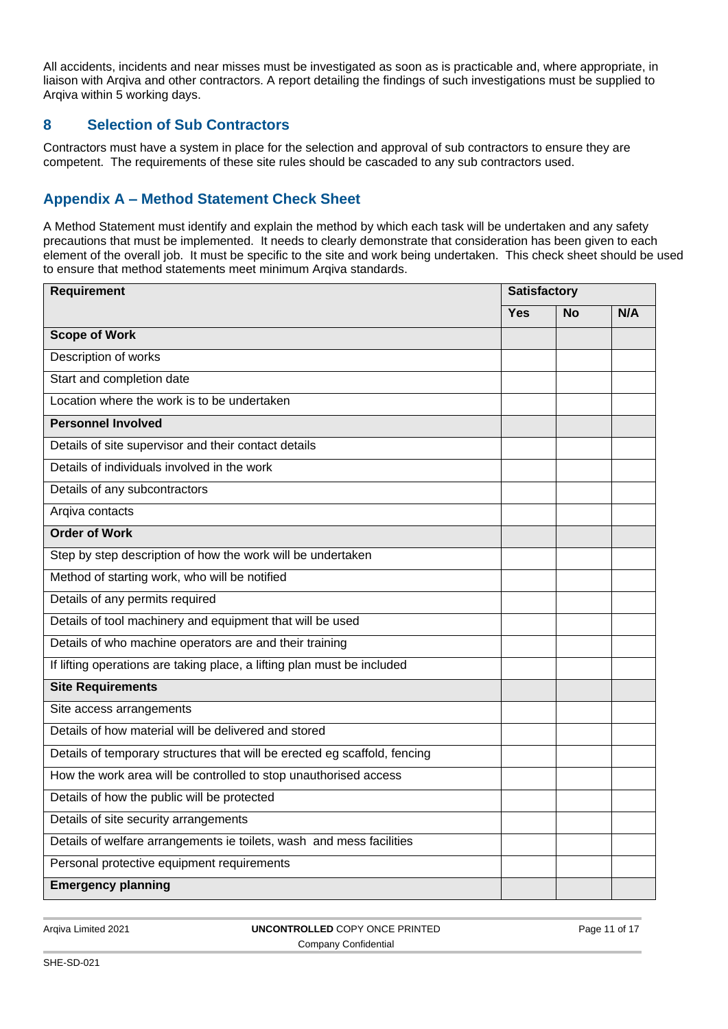All accidents, incidents and near misses must be investigated as soon as is practicable and, where appropriate, in liaison with Arqiva and other contractors. A report detailing the findings of such investigations must be supplied to Arqiva within 5 working days.

# **8 Selection of Sub Contractors**

Contractors must have a system in place for the selection and approval of sub contractors to ensure they are competent. The requirements of these site rules should be cascaded to any sub contractors used.

# **Appendix A – Method Statement Check Sheet**

A Method Statement must identify and explain the method by which each task will be undertaken and any safety precautions that must be implemented. It needs to clearly demonstrate that consideration has been given to each element of the overall job. It must be specific to the site and work being undertaken. This check sheet should be used to ensure that method statements meet minimum Arqiva standards.

| <b>Requirement</b><br><b>Satisfactory</b>                                 |            |    |     |
|---------------------------------------------------------------------------|------------|----|-----|
|                                                                           | <b>Yes</b> | No | N/A |
| <b>Scope of Work</b>                                                      |            |    |     |
| Description of works                                                      |            |    |     |
| Start and completion date                                                 |            |    |     |
| Location where the work is to be undertaken                               |            |    |     |
| <b>Personnel Involved</b>                                                 |            |    |     |
| Details of site supervisor and their contact details                      |            |    |     |
| Details of individuals involved in the work                               |            |    |     |
| Details of any subcontractors                                             |            |    |     |
| Arqiva contacts                                                           |            |    |     |
| <b>Order of Work</b>                                                      |            |    |     |
| Step by step description of how the work will be undertaken               |            |    |     |
| Method of starting work, who will be notified                             |            |    |     |
| Details of any permits required                                           |            |    |     |
| Details of tool machinery and equipment that will be used                 |            |    |     |
| Details of who machine operators are and their training                   |            |    |     |
| If lifting operations are taking place, a lifting plan must be included   |            |    |     |
| <b>Site Requirements</b>                                                  |            |    |     |
| Site access arrangements                                                  |            |    |     |
| Details of how material will be delivered and stored                      |            |    |     |
| Details of temporary structures that will be erected eg scaffold, fencing |            |    |     |
| How the work area will be controlled to stop unauthorised access          |            |    |     |
| Details of how the public will be protected                               |            |    |     |
| Details of site security arrangements                                     |            |    |     |
| Details of welfare arrangements ie toilets, wash and mess facilities      |            |    |     |
| Personal protective equipment requirements                                |            |    |     |
| <b>Emergency planning</b>                                                 |            |    |     |

Arqiva Limited 2021 **UNCONTROLLED** COPY ONCE PRINTED Company Confidential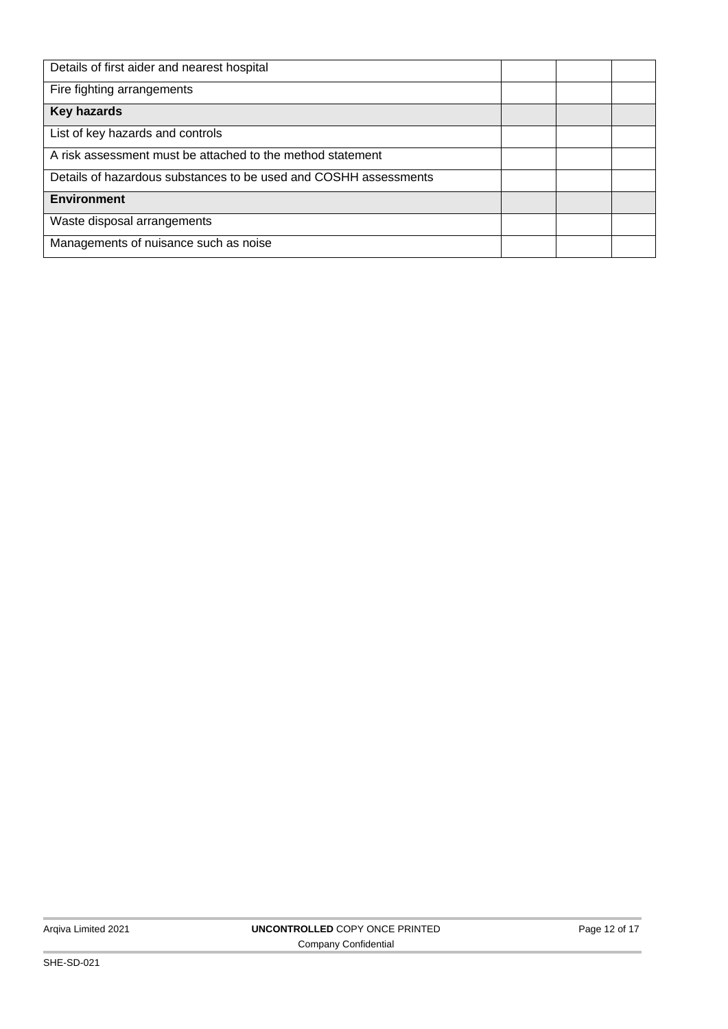| Details of first aider and nearest hospital                      |  |  |
|------------------------------------------------------------------|--|--|
| Fire fighting arrangements                                       |  |  |
| Key hazards                                                      |  |  |
| List of key hazards and controls                                 |  |  |
| A risk assessment must be attached to the method statement       |  |  |
| Details of hazardous substances to be used and COSHH assessments |  |  |
| <b>Environment</b>                                               |  |  |
| Waste disposal arrangements                                      |  |  |
| Managements of nuisance such as noise                            |  |  |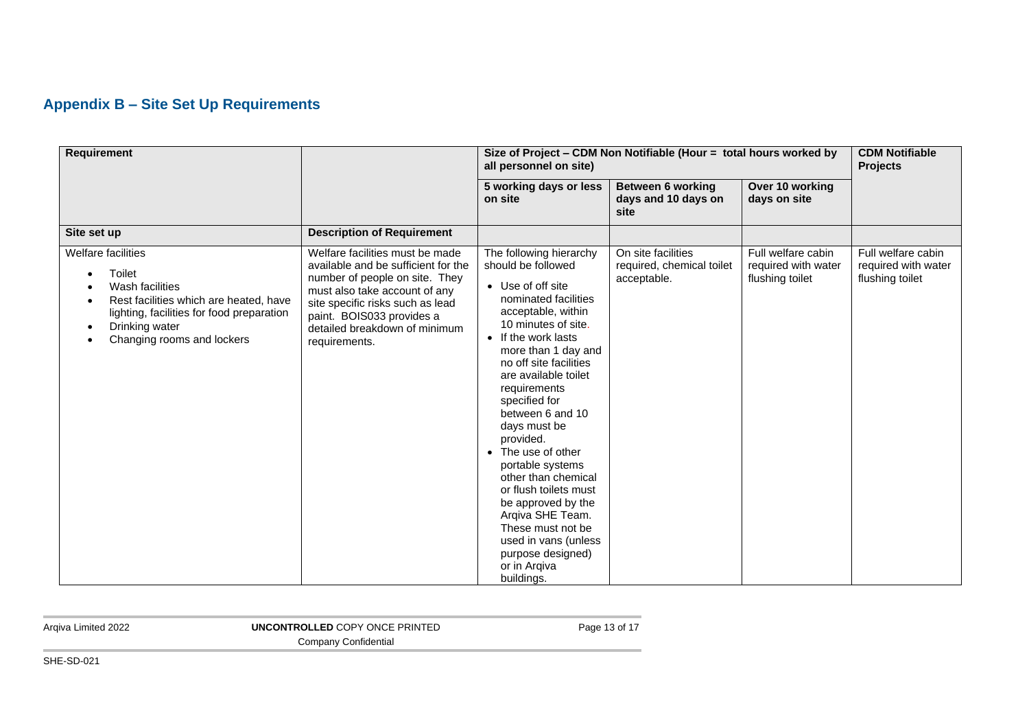#### **Arqiva Site Rules for Construction – BOW109.5 Appendix B – Site Set Up Requirements**

| <b>Requirement</b>                                                                                                                                                                                                    |                                                                                                                                                                                                                                                              | Size of Project - CDM Non Notifiable (Hour = total hours worked by<br>all personnel on site)                                                                                                                                                                                                                                                                                                                                                                                                                                                                                        |                                                                |                                                              | <b>CDM Notifiable</b><br><b>Projects</b>                     |
|-----------------------------------------------------------------------------------------------------------------------------------------------------------------------------------------------------------------------|--------------------------------------------------------------------------------------------------------------------------------------------------------------------------------------------------------------------------------------------------------------|-------------------------------------------------------------------------------------------------------------------------------------------------------------------------------------------------------------------------------------------------------------------------------------------------------------------------------------------------------------------------------------------------------------------------------------------------------------------------------------------------------------------------------------------------------------------------------------|----------------------------------------------------------------|--------------------------------------------------------------|--------------------------------------------------------------|
|                                                                                                                                                                                                                       |                                                                                                                                                                                                                                                              | 5 working days or less<br>on site                                                                                                                                                                                                                                                                                                                                                                                                                                                                                                                                                   | Between 6 working<br>days and 10 days on<br>site               | Over 10 working<br>days on site                              |                                                              |
| Site set up                                                                                                                                                                                                           | <b>Description of Requirement</b>                                                                                                                                                                                                                            |                                                                                                                                                                                                                                                                                                                                                                                                                                                                                                                                                                                     |                                                                |                                                              |                                                              |
| Welfare facilities<br>Toilet<br>Wash facilities<br>Rest facilities which are heated, have<br>٠<br>lighting, facilities for food preparation<br>Drinking water<br>$\bullet$<br>Changing rooms and lockers<br>$\bullet$ | Welfare facilities must be made<br>available and be sufficient for the<br>number of people on site. They<br>must also take account of any<br>site specific risks such as lead<br>paint. BOIS033 provides a<br>detailed breakdown of minimum<br>requirements. | The following hierarchy<br>should be followed<br>• Use of off site<br>nominated facilities<br>acceptable, within<br>10 minutes of site.<br>If the work lasts<br>$\bullet$<br>more than 1 day and<br>no off site facilities<br>are available toilet<br>requirements<br>specified for<br>between 6 and 10<br>days must be<br>provided.<br>The use of other<br>$\bullet$<br>portable systems<br>other than chemical<br>or flush toilets must<br>be approved by the<br>Arqiva SHE Team.<br>These must not be<br>used in vans (unless<br>purpose designed)<br>or in Arqiva<br>buildings. | On site facilities<br>required, chemical toilet<br>acceptable. | Full welfare cabin<br>required with water<br>flushing toilet | Full welfare cabin<br>required with water<br>flushing toilet |

Arqiva Limited 2022 **UNCONTROLLED** COPY ONCE PRINTED Company Confidential

Page 13 of 17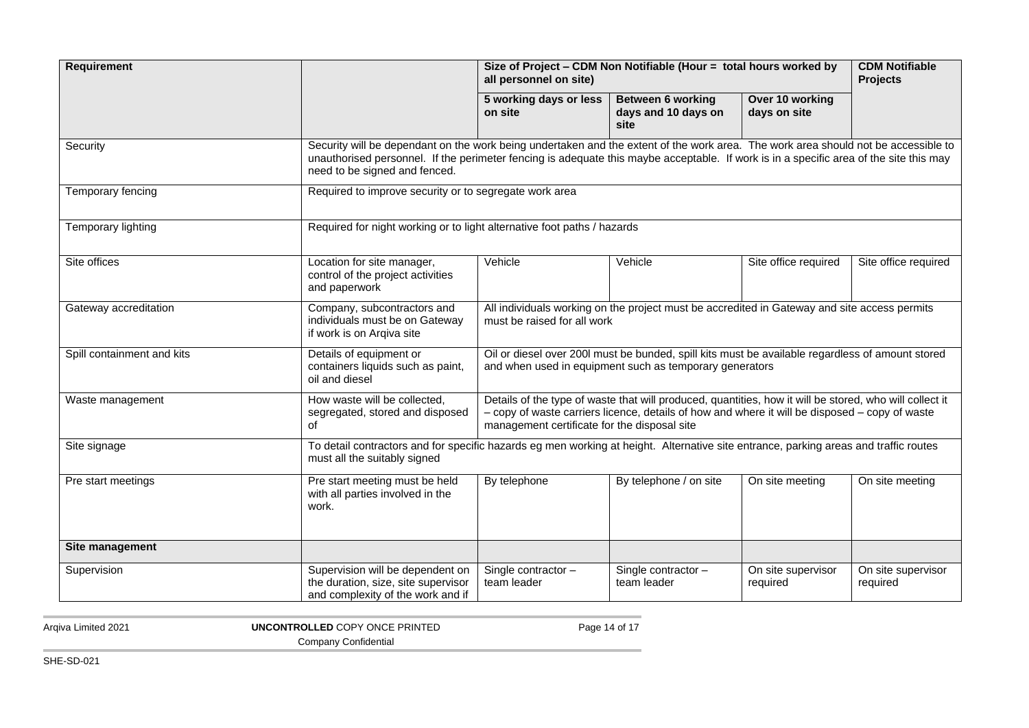| <b>Requirement</b>         |                                                                                                                                                                                                                                                                                                               | Size of Project - CDM Non Notifiable (Hour = total hours worked by<br>all personnel on site)                                                                                                                                                              |                                                         |                                 | <b>CDM Notifiable</b><br><b>Projects</b> |
|----------------------------|---------------------------------------------------------------------------------------------------------------------------------------------------------------------------------------------------------------------------------------------------------------------------------------------------------------|-----------------------------------------------------------------------------------------------------------------------------------------------------------------------------------------------------------------------------------------------------------|---------------------------------------------------------|---------------------------------|------------------------------------------|
|                            |                                                                                                                                                                                                                                                                                                               | 5 working days or less<br>on site                                                                                                                                                                                                                         | <b>Between 6 working</b><br>days and 10 days on<br>site | Over 10 working<br>days on site |                                          |
| Security                   | Security will be dependant on the work being undertaken and the extent of the work area. The work area should not be accessible to<br>unauthorised personnel. If the perimeter fencing is adequate this maybe acceptable. If work is in a specific area of the site this may<br>need to be signed and fenced. |                                                                                                                                                                                                                                                           |                                                         |                                 |                                          |
| Temporary fencing          | Required to improve security or to segregate work area                                                                                                                                                                                                                                                        |                                                                                                                                                                                                                                                           |                                                         |                                 |                                          |
| Temporary lighting         | Required for night working or to light alternative foot paths / hazards                                                                                                                                                                                                                                       |                                                                                                                                                                                                                                                           |                                                         |                                 |                                          |
| Site offices               | Location for site manager,<br>control of the project activities<br>and paperwork                                                                                                                                                                                                                              | Vehicle                                                                                                                                                                                                                                                   | Vehicle                                                 | Site office required            | Site office required                     |
| Gateway accreditation      | Company, subcontractors and<br>individuals must be on Gateway<br>if work is on Argiva site                                                                                                                                                                                                                    | All individuals working on the project must be accredited in Gateway and site access permits<br>must be raised for all work                                                                                                                               |                                                         |                                 |                                          |
| Spill containment and kits | Details of equipment or<br>containers liquids such as paint,<br>oil and diesel                                                                                                                                                                                                                                | Oil or diesel over 200I must be bunded, spill kits must be available regardless of amount stored<br>and when used in equipment such as temporary generators                                                                                               |                                                         |                                 |                                          |
| Waste management           | How waste will be collected,<br>segregated, stored and disposed<br>of                                                                                                                                                                                                                                         | Details of the type of waste that will produced, quantities, how it will be stored, who will collect it<br>- copy of waste carriers licence, details of how and where it will be disposed - copy of waste<br>management certificate for the disposal site |                                                         |                                 |                                          |
| Site signage               | To detail contractors and for specific hazards eg men working at height. Alternative site entrance, parking areas and traffic routes<br>must all the suitably signed                                                                                                                                          |                                                                                                                                                                                                                                                           |                                                         |                                 |                                          |
| Pre start meetings         | Pre start meeting must be held<br>with all parties involved in the<br>work.                                                                                                                                                                                                                                   | By telephone                                                                                                                                                                                                                                              | By telephone / on site                                  | On site meeting                 | On site meeting                          |
| Site management            |                                                                                                                                                                                                                                                                                                               |                                                                                                                                                                                                                                                           |                                                         |                                 |                                          |
| Supervision                | Supervision will be dependent on<br>the duration, size, site supervisor<br>and complexity of the work and if                                                                                                                                                                                                  | Single contractor -<br>team leader                                                                                                                                                                                                                        | Single contractor -<br>team leader                      | On site supervisor<br>required  | On site supervisor<br>required           |

**UNCONTROLLED** COPY ONCE PRINTED Company Confidential

Page 14 of 17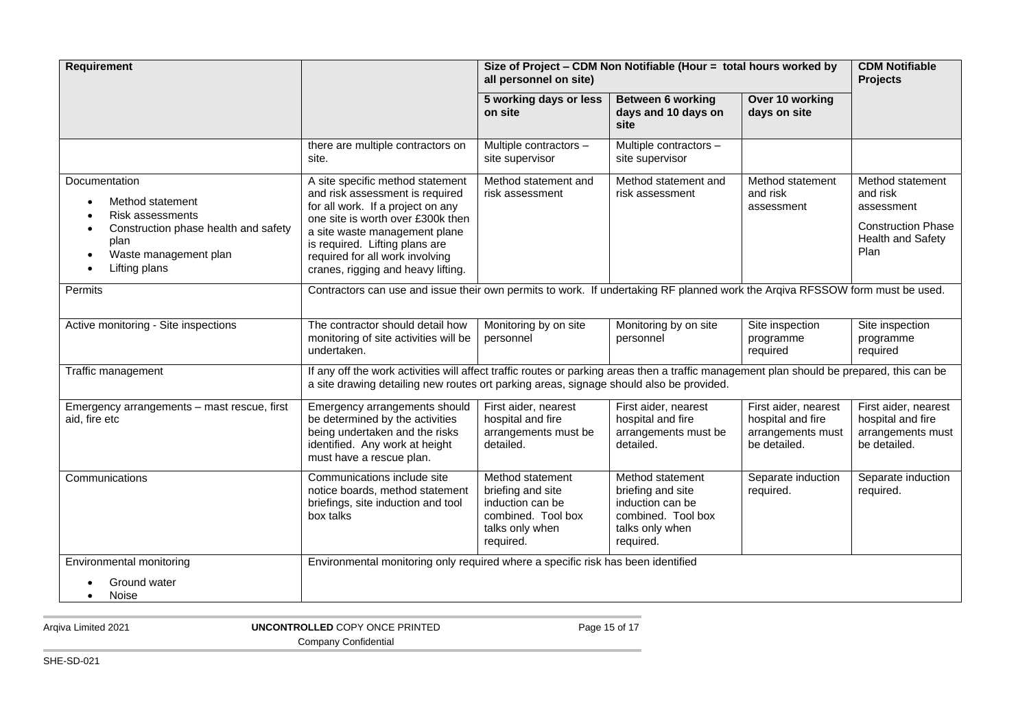| <b>Requirement</b>                                                                                                                                     | Size of Project - CDM Non Notifiable (Hour = total hours worked by<br>all personnel on site)                                                                                                                                                                                              |                                                                                                                 |                                                                                                                 | <b>CDM Notifiable</b><br><b>Projects</b>                                       |                                                                                                             |
|--------------------------------------------------------------------------------------------------------------------------------------------------------|-------------------------------------------------------------------------------------------------------------------------------------------------------------------------------------------------------------------------------------------------------------------------------------------|-----------------------------------------------------------------------------------------------------------------|-----------------------------------------------------------------------------------------------------------------|--------------------------------------------------------------------------------|-------------------------------------------------------------------------------------------------------------|
|                                                                                                                                                        |                                                                                                                                                                                                                                                                                           | 5 working days or less<br>on site                                                                               | Between 6 working<br>days and 10 days on<br>site                                                                | Over 10 working<br>days on site                                                |                                                                                                             |
|                                                                                                                                                        | there are multiple contractors on<br>site.                                                                                                                                                                                                                                                | Multiple contractors -<br>site supervisor                                                                       | Multiple contractors -<br>site supervisor                                                                       |                                                                                |                                                                                                             |
| Documentation<br>Method statement<br><b>Risk assessments</b><br>Construction phase health and safety<br>plan<br>Waste management plan<br>Lifting plans | A site specific method statement<br>and risk assessment is required<br>for all work. If a project on any<br>one site is worth over £300k then<br>a site waste management plane<br>is required. Lifting plans are<br>required for all work involving<br>cranes, rigging and heavy lifting. | Method statement and<br>risk assessment                                                                         | Method statement and<br>risk assessment                                                                         | Method statement<br>and risk<br>assessment                                     | Method statement<br>and risk<br>assessment<br><b>Construction Phase</b><br><b>Health and Safety</b><br>Plan |
| Permits                                                                                                                                                | Contractors can use and issue their own permits to work. If undertaking RF planned work the Arqiva RFSSOW form must be used.                                                                                                                                                              |                                                                                                                 |                                                                                                                 |                                                                                |                                                                                                             |
| Active monitoring - Site inspections                                                                                                                   | The contractor should detail how<br>monitoring of site activities will be<br>undertaken.                                                                                                                                                                                                  | Monitoring by on site<br>personnel                                                                              | Monitoring by on site<br>personnel                                                                              | Site inspection<br>programme<br>required                                       | Site inspection<br>programme<br>required                                                                    |
| Traffic management                                                                                                                                     | If any off the work activities will affect traffic routes or parking areas then a traffic management plan should be prepared, this can be<br>a site drawing detailing new routes ort parking areas, signage should also be provided.                                                      |                                                                                                                 |                                                                                                                 |                                                                                |                                                                                                             |
| Emergency arrangements - mast rescue, first<br>aid, fire etc                                                                                           | Emergency arrangements should<br>be determined by the activities<br>being undertaken and the risks<br>identified. Any work at height<br>must have a rescue plan.                                                                                                                          | First aider, nearest<br>hospital and fire<br>arrangements must be<br>detailed.                                  | First aider, nearest<br>hospital and fire<br>arrangements must be<br>detailed.                                  | First aider, nearest<br>hospital and fire<br>arrangements must<br>be detailed. | First aider, nearest<br>hospital and fire<br>arrangements must<br>be detailed.                              |
| Communications                                                                                                                                         | Communications include site<br>notice boards, method statement<br>briefings, site induction and tool<br>box talks                                                                                                                                                                         | Method statement<br>briefing and site<br>induction can be<br>combined. Tool box<br>talks only when<br>required. | Method statement<br>briefing and site<br>induction can be<br>combined. Tool box<br>talks only when<br>required. | Separate induction<br>required.                                                | Separate induction<br>required.                                                                             |
| Environmental monitoring<br>Ground water<br><b>Noise</b>                                                                                               | Environmental monitoring only required where a specific risk has been identified                                                                                                                                                                                                          |                                                                                                                 |                                                                                                                 |                                                                                |                                                                                                             |

Arqiva Limited 2021 **UNCONTROLLED** COPY ONCE PRINTED Company Confidential

Page 15 of 17

SHE-SD-021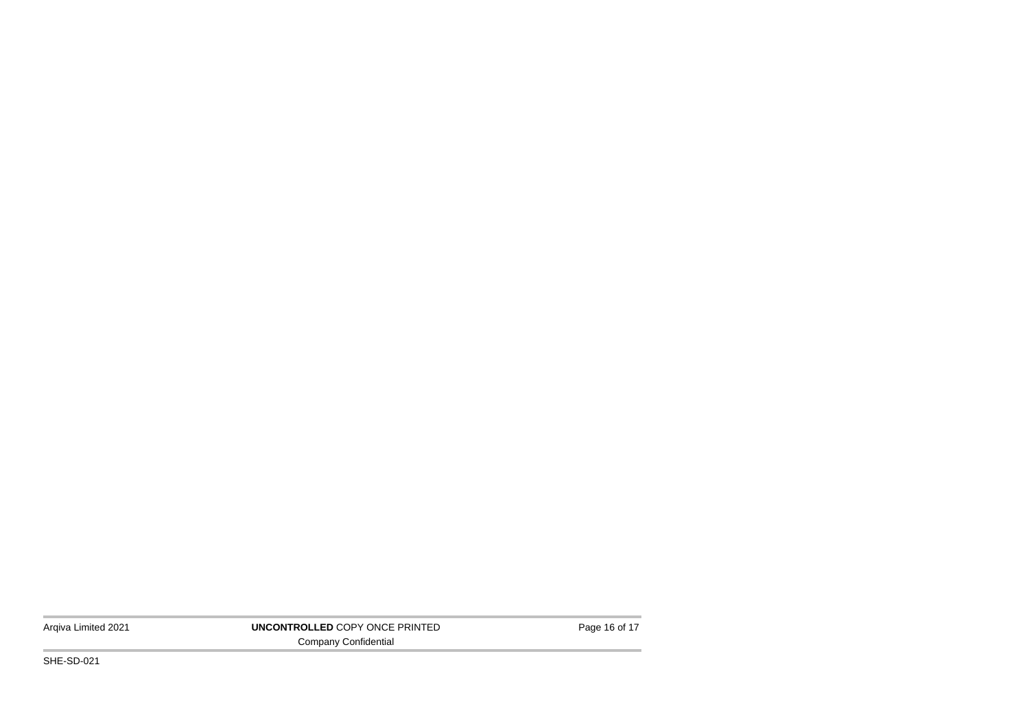Arqiva Limited 2021 **UNCONTROLLED** COPY ONCE PRINTED Company Confidential

Page 16 of 17

SHE -SD -021